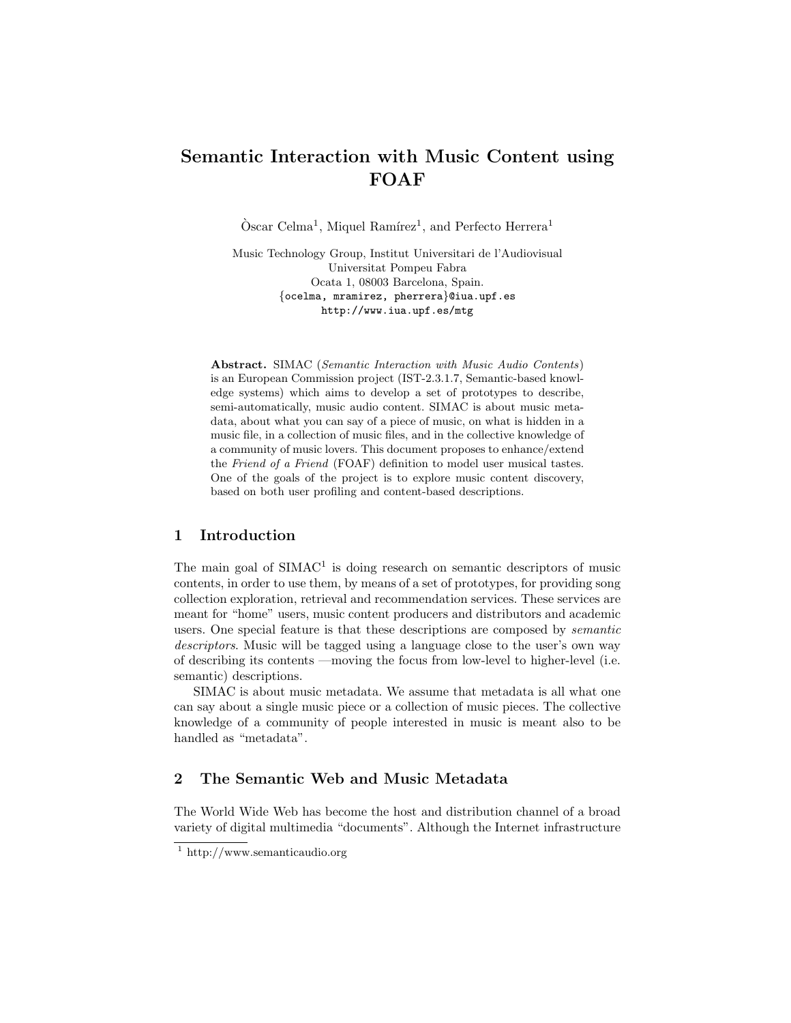# Semantic Interaction with Music Content using FOAF

 $\mathrm{O}$ scar Celma<sup>1</sup>, Miquel Ramírez<sup>1</sup>, and Perfecto Herrera<sup>1</sup>

Music Technology Group, Institut Universitari de l'Audiovisual Universitat Pompeu Fabra Ocata 1, 08003 Barcelona, Spain. {ocelma, mramirez, pherrera}@iua.upf.es http://www.iua.upf.es/mtg

Abstract. SIMAC (Semantic Interaction with Music Audio Contents) is an European Commission project (IST-2.3.1.7, Semantic-based knowledge systems) which aims to develop a set of prototypes to describe, semi-automatically, music audio content. SIMAC is about music metadata, about what you can say of a piece of music, on what is hidden in a music file, in a collection of music files, and in the collective knowledge of a community of music lovers. This document proposes to enhance/extend the Friend of a Friend (FOAF) definition to model user musical tastes. One of the goals of the project is to explore music content discovery, based on both user profiling and content-based descriptions.

## 1 Introduction

The main goal of  $SIMAC<sup>1</sup>$  is doing research on semantic descriptors of music contents, in order to use them, by means of a set of prototypes, for providing song collection exploration, retrieval and recommendation services. These services are meant for "home" users, music content producers and distributors and academic users. One special feature is that these descriptions are composed by semantic descriptors. Music will be tagged using a language close to the user's own way of describing its contents —moving the focus from low-level to higher-level (i.e. semantic) descriptions.

SIMAC is about music metadata. We assume that metadata is all what one can say about a single music piece or a collection of music pieces. The collective knowledge of a community of people interested in music is meant also to be handled as "metadata".

## 2 The Semantic Web and Music Metadata

The World Wide Web has become the host and distribution channel of a broad variety of digital multimedia "documents". Although the Internet infrastructure

 $1$  http://www.semanticaudio.org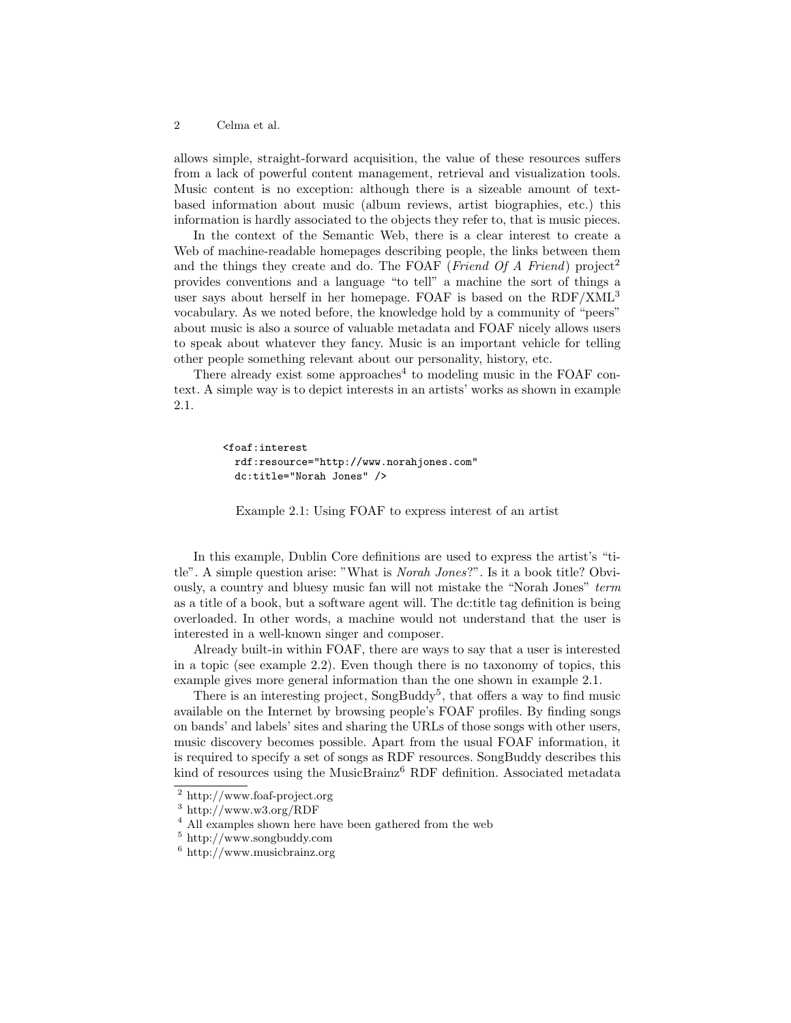#### 2 Celma et al.

allows simple, straight-forward acquisition, the value of these resources suffers from a lack of powerful content management, retrieval and visualization tools. Music content is no exception: although there is a sizeable amount of textbased information about music (album reviews, artist biographies, etc.) this information is hardly associated to the objects they refer to, that is music pieces.

In the context of the Semantic Web, there is a clear interest to create a Web of machine-readable homepages describing people, the links between them and the things they create and do. The FOAF (Friend Of A Friend) project<sup>2</sup> provides conventions and a language "to tell" a machine the sort of things a user says about herself in her homepage. FOAF is based on the RDF/XML<sup>3</sup> vocabulary. As we noted before, the knowledge hold by a community of "peers" about music is also a source of valuable metadata and FOAF nicely allows users to speak about whatever they fancy. Music is an important vehicle for telling other people something relevant about our personality, history, etc.

There already exist some approaches<sup>4</sup> to modeling music in the FOAF context. A simple way is to depict interests in an artists' works as shown in example 2.1.

```
<foaf:interest
 rdf:resource="http://www.norahjones.com"
 dc:title="Norah Jones" />
```
Example 2.1: Using FOAF to express interest of an artist

In this example, Dublin Core definitions are used to express the artist's "title". A simple question arise: "What is Norah Jones?". Is it a book title? Obviously, a country and bluesy music fan will not mistake the "Norah Jones" term as a title of a book, but a software agent will. The dc:title tag definition is being overloaded. In other words, a machine would not understand that the user is interested in a well-known singer and composer.

Already built-in within FOAF, there are ways to say that a user is interested in a topic (see example 2.2). Even though there is no taxonomy of topics, this example gives more general information than the one shown in example 2.1.

There is an interesting project, SongBuddy<sup>5</sup>, that offers a way to find music available on the Internet by browsing people's FOAF profiles. By finding songs on bands' and labels' sites and sharing the URLs of those songs with other users, music discovery becomes possible. Apart from the usual FOAF information, it is required to specify a set of songs as RDF resources. SongBuddy describes this kind of resources using the MusicBrainz<sup>6</sup> RDF definition. Associated metadata

<sup>2</sup> http://www.foaf-project.org

<sup>3</sup> http://www.w3.org/RDF

<sup>4</sup> All examples shown here have been gathered from the web

<sup>5</sup> http://www.songbuddy.com

<sup>6</sup> http://www.musicbrainz.org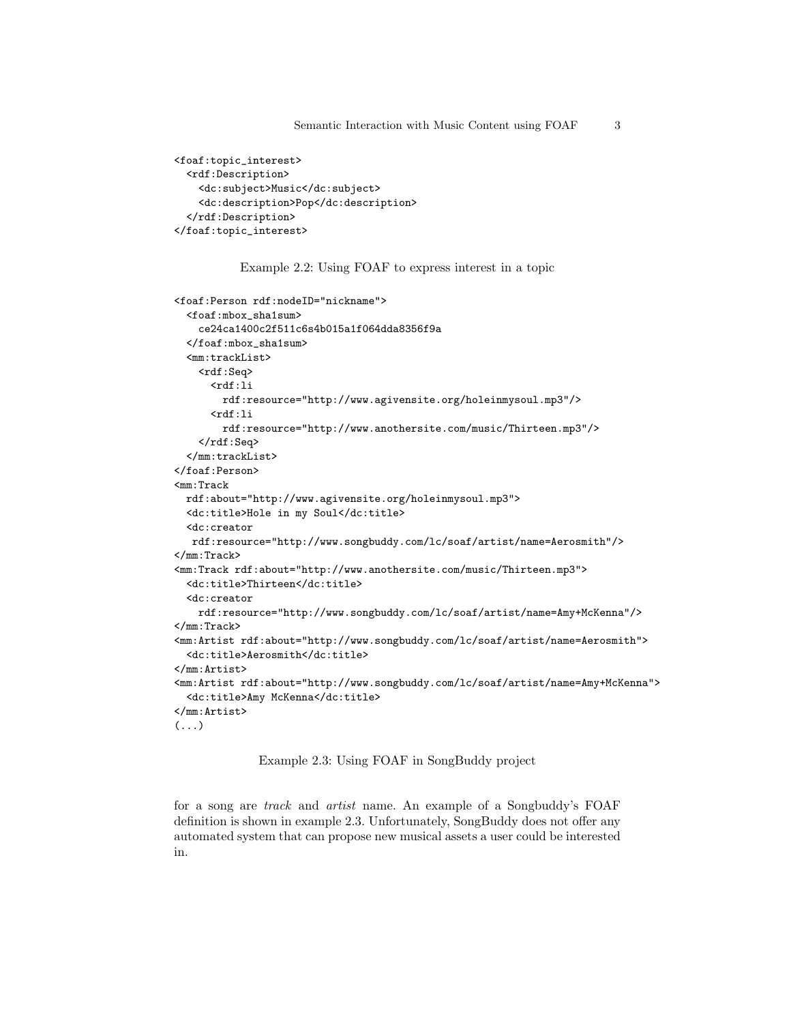```
<foaf:topic_interest>
 <rdf:Description>
   <dc:subject>Music</dc:subject>
    <dc:description>Pop</dc:description>
 </rdf:Description>
</foaf:topic_interest>
```
Example 2.2: Using FOAF to express interest in a topic

```
<foaf:Person rdf:nodeID="nickname">
 <foaf:mbox_sha1sum>
   ce24ca1400c2f511c6s4b015a1f064dda8356f9a
 </foaf:mbox_sha1sum>
 <mm:trackList>
   <rdf:Seq>
      <rdf:li
       rdf:resource="http://www.agivensite.org/holeinmysoul.mp3"/>
      <rdf:lirdf:resource="http://www.anothersite.com/music/Thirteen.mp3"/>
    \langle \text{rdf}:Seq>
  </mm:trackList>
</foaf:Person>
<mm:Track
 rdf:about="http://www.agivensite.org/holeinmysoul.mp3">
 <dc:title>Hole in my Soul</dc:title>
 <dc:creator
  rdf:resource="http://www.songbuddy.com/lc/soaf/artist/name=Aerosmith"/>
</mm:Track>
<mm:Track rdf:about="http://www.anothersite.com/music/Thirteen.mp3">
 <dc:title>Thirteen</dc:title>
 <dc:creator
   rdf:resource="http://www.songbuddy.com/lc/soaf/artist/name=Amy+McKenna"/>
</mm:Track>
<mm:Artist rdf:about="http://www.songbuddy.com/lc/soaf/artist/name=Aerosmith">
 <dc:title>Aerosmith</dc:title>
</mm:Artist>
<mm:Artist rdf:about="http://www.songbuddy.com/lc/soaf/artist/name=Amy+McKenna">
 <dc:title>Amy McKenna</dc:title>
</mm:Artist>
\left( \ldots \right)
```
#### Example 2.3: Using FOAF in SongBuddy project

for a song are track and artist name. An example of a Songbuddy's FOAF definition is shown in example 2.3. Unfortunately, SongBuddy does not offer any automated system that can propose new musical assets a user could be interested in.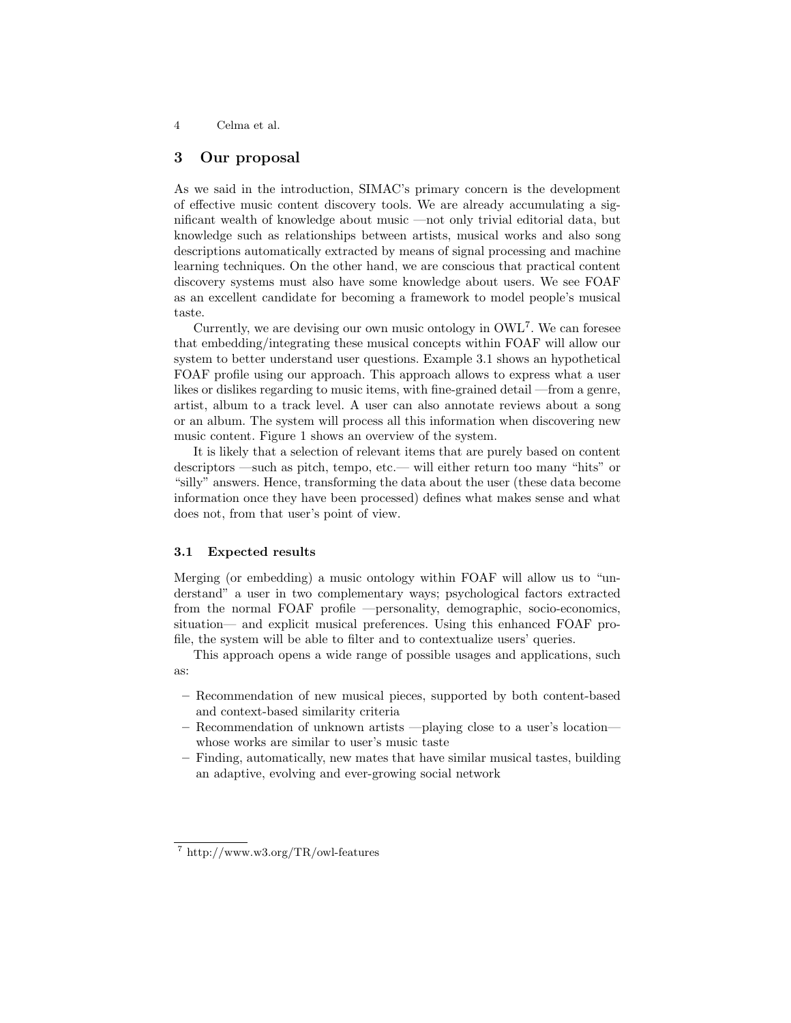4 Celma et al.

## 3 Our proposal

As we said in the introduction, SIMAC's primary concern is the development of effective music content discovery tools. We are already accumulating a significant wealth of knowledge about music —not only trivial editorial data, but knowledge such as relationships between artists, musical works and also song descriptions automatically extracted by means of signal processing and machine learning techniques. On the other hand, we are conscious that practical content discovery systems must also have some knowledge about users. We see FOAF as an excellent candidate for becoming a framework to model people's musical taste.

Currently, we are devising our own music ontology in OWL<sup>7</sup> . We can foresee that embedding/integrating these musical concepts within FOAF will allow our system to better understand user questions. Example 3.1 shows an hypothetical FOAF profile using our approach. This approach allows to express what a user likes or dislikes regarding to music items, with fine-grained detail —from a genre, artist, album to a track level. A user can also annotate reviews about a song or an album. The system will process all this information when discovering new music content. Figure 1 shows an overview of the system.

It is likely that a selection of relevant items that are purely based on content descriptors —such as pitch, tempo, etc.— will either return too many "hits" or "silly" answers. Hence, transforming the data about the user (these data become information once they have been processed) defines what makes sense and what does not, from that user's point of view.

### 3.1 Expected results

Merging (or embedding) a music ontology within FOAF will allow us to "understand" a user in two complementary ways; psychological factors extracted from the normal FOAF profile —personality, demographic, socio-economics, situation— and explicit musical preferences. Using this enhanced FOAF profile, the system will be able to filter and to contextualize users' queries.

This approach opens a wide range of possible usages and applications, such as:

- Recommendation of new musical pieces, supported by both content-based and context-based similarity criteria
- Recommendation of unknown artists —playing close to a user's location whose works are similar to user's music taste
- Finding, automatically, new mates that have similar musical tastes, building an adaptive, evolving and ever-growing social network

<sup>7</sup> http://www.w3.org/TR/owl-features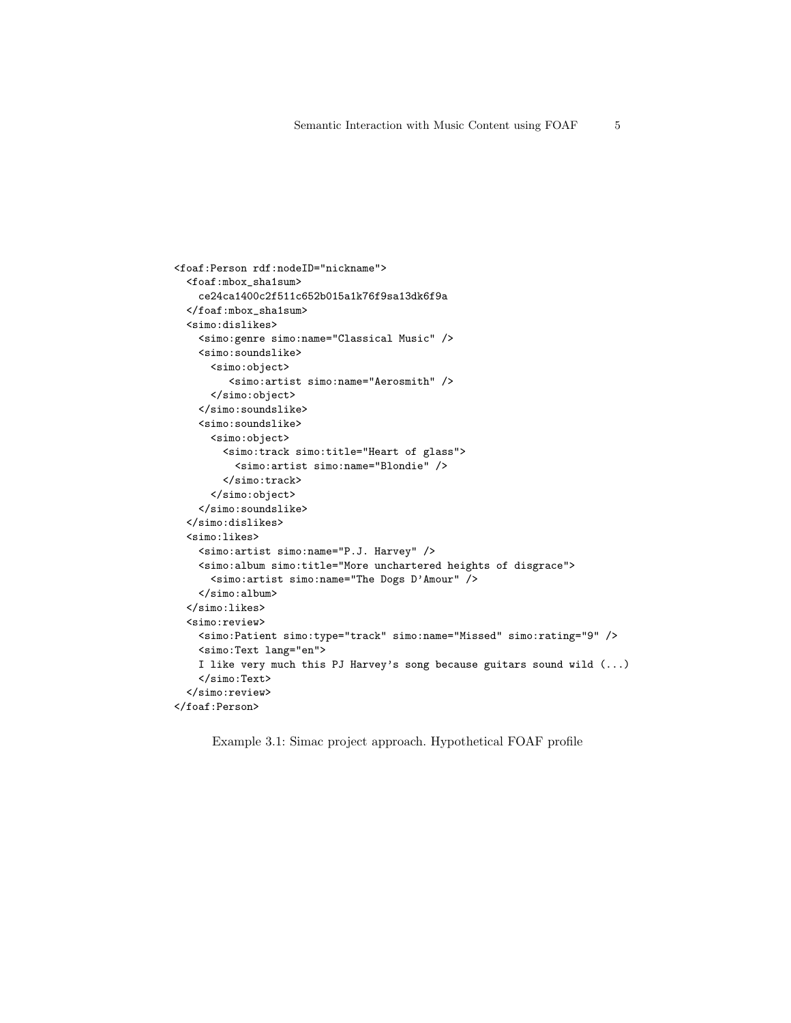```
<foaf:Person rdf:nodeID="nickname">
 <foaf:mbox_sha1sum>
   ce24ca1400c2f511c652b015a1k76f9sa13dk6f9a
 </foaf:mbox_sha1sum>
 <simo:dislikes>
   <simo:genre simo:name="Classical Music" />
   <simo:soundslike>
      <simo:object>
         <simo:artist simo:name="Aerosmith" />
      </simo:object>
    </simo:soundslike>
    <simo:soundslike>
     <simo:object>
       <simo:track simo:title="Heart of glass">
         <simo:artist simo:name="Blondie" />
       < /simo:track>
      </simo:object>
    </simo:soundslike>
 </simo:dislikes>
 <simo:likes>
   <simo:artist simo:name="P.J. Harvey" />
   <simo:album simo:title="More unchartered heights of disgrace">
      <simo:artist simo:name="The Dogs D'Amour" />
    </simo:album>
 </simo:likes>
 <simo:review>
   <simo:Patient simo:type="track" simo:name="Missed" simo:rating="9" />
   <simo:Text lang="en">
   I like very much this PJ Harvey's song because guitars sound wild (...)
   </simo:Text>
 </simo:review>
</foaf:Person>
```
Example 3.1: Simac project approach. Hypothetical FOAF profile